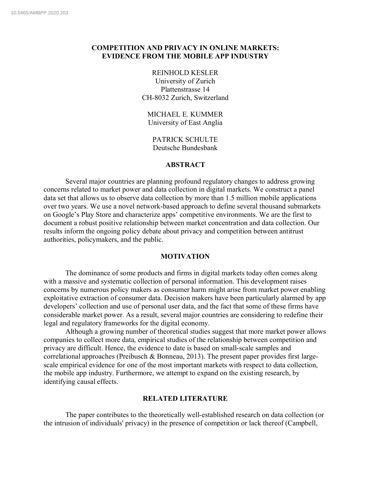# **COMPETITION AND PRIVACY IN ONLINE MARKETS: EVIDENCE FROM THE MOBILE APP INDUSTRY**

REINHOLD KESLER University of Zurich Plattenstrasse 14 CH-8032 Zurich, Switzerland

MICHAEL E. KUMMER University of East Anglia

PATRICK SCHULTE Deutsche Bundesbank

## **ABSTRACT**

Several major countries are planning profound regulatory changes to address growing concerns related to market power and data collection in digital markets. We construct a panel data set that allows us to observe data collection by more than 1.5 million mobile applications over two years. We use a novel network-based approach to define several thousand submarkets on Google's Play Store and characterize apps' competitive environments. We are the first to document a robust positive relationship between market concentration and data collection. Our results inform the ongoing policy debate about privacy and competition between antitrust authorities, policymakers, and the public.

### **MOTIVATION**

The dominance of some products and firms in digital markets today often comes along with a massive and systematic collection of personal information. This development raises concerns by numerous policy makers as consumer harm might arise from market power enabling exploitative extraction of consumer data. Decision makers have been particularly alarmed by app developers' collection and use of personal user data, and the fact that some of these firms have considerable market power. As a result, several major countries are considering to redefine their legal and regulatory frameworks for the digital economy.

Although a growing number of theoretical studies suggest that more market power allows companies to collect more data, empirical studies of the relationship between competition and privacy are difficult. Hence, the evidence to date is based on small-scale samples and correlational approaches (Preibusch & Bonneau, 2013). The present paper provides first largescale empirical evidence for one of the most important markets with respect to data collection, the mobile app industry. Furthermore, we attempt to expand on the existing research, by identifying causal effects.

### **RELATED LITERATURE**

The paper contributes to the theoretically well-established research on data collection (or the intrusion of individuals' privacy) in the presence of competition or lack thereof (Campbell,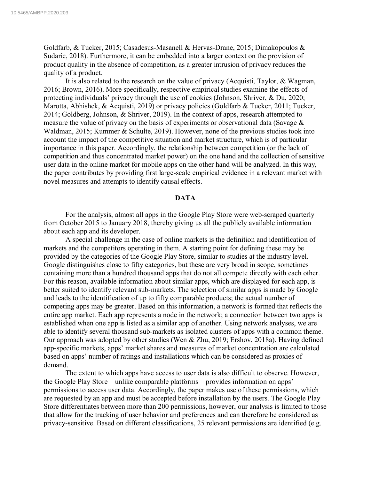Goldfarb, & Tucker, 2015; Casadesus-Masanell & Hervas-Drane, 2015; Dimakopoulos & Sudaric, 2018). Furthermore, it can be embedded into a larger context on the provision of product quality in the absence of competition, as a greater intrusion of privacy reduces the quality of a product.

It is also related to the research on the value of privacy (Acquisti, Taylor, & Wagman, 2016; Brown, 2016). More specifically, respective empirical studies examine the effects of protecting individuals' privacy through the use of cookies (Johnson, Shriver, & Du, 2020; Marotta, Abhishek, & Acquisti, 2019) or privacy policies (Goldfarb & Tucker, 2011; Tucker, 2014; Goldberg, Johnson, & Shriver, 2019). In the context of apps, research attempted to measure the value of privacy on the basis of experiments or observational data (Savage & Waldman, 2015; Kummer & Schulte, 2019). However, none of the previous studies took into account the impact of the competitive situation and market structure, which is of particular importance in this paper. Accordingly, the relationship between competition (or the lack of competition and thus concentrated market power) on the one hand and the collection of sensitive user data in the online market for mobile apps on the other hand will be analyzed. In this way, the paper contributes by providing first large-scale empirical evidence in a relevant market with novel measures and attempts to identify causal effects.

#### **DATA**

For the analysis, almost all apps in the Google Play Store were web-scraped quarterly from October 2015 to January 2018, thereby giving us all the publicly available information about each app and its developer.

A special challenge in the case of online markets is the definition and identification of markets and the competitors operating in them. A starting point for defining these may be provided by the categories of the Google Play Store, similar to studies at the industry level. Google distinguishes close to fifty categories, but these are very broad in scope, sometimes containing more than a hundred thousand apps that do not all compete directly with each other. For this reason, available information about similar apps, which are displayed for each app, is better suited to identify relevant sub-markets. The selection of similar apps is made by Google and leads to the identification of up to fifty comparable products; the actual number of competing apps may be greater. Based on this information, a network is formed that reflects the entire app market. Each app represents a node in the network; a connection between two apps is established when one app is listed as a similar app of another. Using network analyses, we are able to identify several thousand sub-markets as isolated clusters of apps with a common theme. Our approach was adopted by other studies (Wen & Zhu, 2019; Ershov, 2018a). Having defined app-specific markets, apps' market shares and measures of market concentration are calculated based on apps' number of ratings and installations which can be considered as proxies of demand.

The extent to which apps have access to user data is also difficult to observe. However, the Google Play Store – unlike comparable platforms – provides information on apps' permissions to access user data. Accordingly, the paper makes use of these permissions, which are requested by an app and must be accepted before installation by the users. The Google Play Store differentiates between more than 200 permissions, however, our analysis is limited to those that allow for the tracking of user behavior and preferences and can therefore be considered as privacy-sensitive. Based on different classifications, 25 relevant permissions are identified (e.g.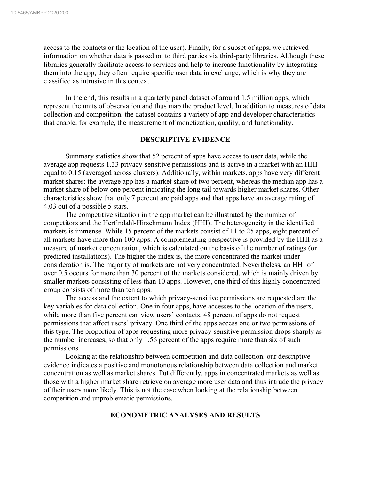access to the contacts or the location of the user). Finally, for a subset of apps, we retrieved information on whether data is passed on to third parties via third-party libraries. Although these libraries generally facilitate access to services and help to increase functionality by integrating them into the app, they often require specific user data in exchange, which is why they are classified as intrusive in this context.

In the end, this results in a quarterly panel dataset of around 1.5 million apps, which represent the units of observation and thus map the product level. In addition to measures of data collection and competition, the dataset contains a variety of app and developer characteristics that enable, for example, the measurement of monetization, quality, and functionality.

## **DESCRIPTIVE EVIDENCE**

Summary statistics show that 52 percent of apps have access to user data, while the average app requests 1.33 privacy-sensitive permissions and is active in a market with an HHI equal to 0.15 (averaged across clusters). Additionally, within markets, apps have very different market shares: the average app has a market share of two percent, whereas the median app has a market share of below one percent indicating the long tail towards higher market shares. Other characteristics show that only 7 percent are paid apps and that apps have an average rating of 4.03 out of a possible 5 stars.

The competitive situation in the app market can be illustrated by the number of competitors and the Herfindahl-Hirschmann Index (HHI). The heterogeneity in the identified markets is immense. While 15 percent of the markets consist of 11 to 25 apps, eight percent of all markets have more than 100 apps. A complementing perspective is provided by the HHI as a measure of market concentration, which is calculated on the basis of the number of ratings (or predicted installations). The higher the index is, the more concentrated the market under consideration is. The majority of markets are not very concentrated. Nevertheless, an HHI of over 0.5 occurs for more than 30 percent of the markets considered, which is mainly driven by smaller markets consisting of less than 10 apps. However, one third of this highly concentrated group consists of more than ten apps.

The access and the extent to which privacy-sensitive permissions are requested are the key variables for data collection. One in four apps, have accesses to the location of the users, while more than five percent can view users' contacts. 48 percent of apps do not request permissions that affect users' privacy. One third of the apps access one or two permissions of this type. The proportion of apps requesting more privacy-sensitive permission drops sharply as the number increases, so that only 1.56 percent of the apps require more than six of such permissions.

Looking at the relationship between competition and data collection, our descriptive evidence indicates a positive and monotonous relationship between data collection and market concentration as well as market shares. Put differently, apps in concentrated markets as well as those with a higher market share retrieve on average more user data and thus intrude the privacy of their users more likely. This is not the case when looking at the relationship between competition and unproblematic permissions.

### **ECONOMETRIC ANALYSES AND RESULTS**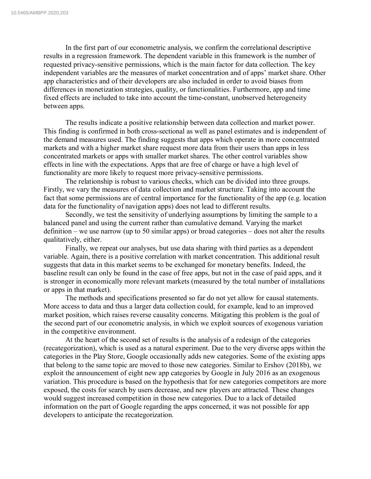In the first part of our econometric analysis, we confirm the correlational descriptive results in a regression framework. The dependent variable in this framework is the number of requested privacy-sensitive permissions, which is the main factor for data collection. The key independent variables are the measures of market concentration and of apps' market share. Other app characteristics and of their developers are also included in order to avoid biases from differences in monetization strategies, quality, or functionalities. Furthermore, app and time fixed effects are included to take into account the time-constant, unobserved heterogeneity between apps.

The results indicate a positive relationship between data collection and market power. This finding is confirmed in both cross-sectional as well as panel estimates and is independent of the demand measures used. The finding suggests that apps which operate in more concentrated markets and with a higher market share request more data from their users than apps in less concentrated markets or apps with smaller market shares. The other control variables show effects in line with the expectations. Apps that are free of charge or have a high level of functionality are more likely to request more privacy-sensitive permissions.

The relationship is robust to various checks, which can be divided into three groups. Firstly, we vary the measures of data collection and market structure. Taking into account the fact that some permissions are of central importance for the functionality of the app (e.g. location data for the functionality of navigation apps) does not lead to different results.

Secondly, we test the sensitivity of underlying assumptions by limiting the sample to a balanced panel and using the current rather than cumulative demand. Varying the market definition – we use narrow (up to 50 similar apps) or broad categories – does not alter the results qualitatively, either.

Finally, we repeat our analyses, but use data sharing with third parties as a dependent variable. Again, there is a positive correlation with market concentration. This additional result suggests that data in this market seems to be exchanged for monetary benefits. Indeed, the baseline result can only be found in the case of free apps, but not in the case of paid apps, and it is stronger in economically more relevant markets (measured by the total number of installations or apps in that market).

The methods and specifications presented so far do not yet allow for causal statements. More access to data and thus a larger data collection could, for example, lead to an improved market position, which raises reverse causality concerns. Mitigating this problem is the goal of the second part of our econometric analysis, in which we exploit sources of exogenous variation in the competitive environment.

At the heart of the second set of results is the analysis of a redesign of the categories (recategorization), which is used as a natural experiment. Due to the very diverse apps within the categories in the Play Store, Google occasionally adds new categories. Some of the existing apps that belong to the same topic are moved to those new categories. Similar to Ershov (2018b), we exploit the announcement of eight new app categories by Google in July 2016 as an exogenous variation. This procedure is based on the hypothesis that for new categories competitors are more exposed, the costs for search by users decrease, and new players are attracted. These changes would suggest increased competition in those new categories. Due to a lack of detailed information on the part of Google regarding the apps concerned, it was not possible for app developers to anticipate the recategorization.